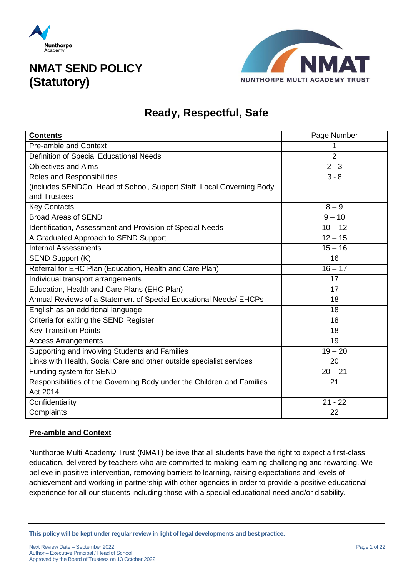



### **Ready, Respectful, Safe**

| <b>Contents</b>                                                        | Page Number          |
|------------------------------------------------------------------------|----------------------|
| <b>Pre-amble and Context</b>                                           | 1                    |
| Definition of Special Educational Needs                                | $\overline{2}$       |
| <b>Objectives and Aims</b>                                             | $2 - 3$              |
| <b>Roles and Responsibilities</b>                                      | $3 - 8$              |
| (includes SENDCo, Head of School, Support Staff, Local Governing Body  |                      |
| and Trustees                                                           |                      |
| <b>Key Contacts</b>                                                    | $8 - 9$              |
| <b>Broad Areas of SEND</b>                                             | $9 - 10$             |
| Identification, Assessment and Provision of Special Needs              | $10 - 12$            |
| A Graduated Approach to SEND Support                                   | $12 - 15$            |
| <b>Internal Assessments</b>                                            | $15 - 16$            |
| SEND Support (K)                                                       | 16                   |
| Referral for EHC Plan (Education, Health and Care Plan)                | $\overline{16} - 17$ |
| Individual transport arrangements                                      | 17                   |
| Education, Health and Care Plans (EHC Plan)                            | 17                   |
| Annual Reviews of a Statement of Special Educational Needs/ EHCPs      | 18                   |
| English as an additional language                                      | 18                   |
| Criteria for exiting the SEND Register                                 | 18                   |
| <b>Key Transition Points</b>                                           | 18                   |
| <b>Access Arrangements</b>                                             | 19                   |
| Supporting and involving Students and Families                         | $19 - 20$            |
| Links with Health, Social Care and other outside specialist services   | 20                   |
| Funding system for SEND                                                | $20 - 21$            |
| Responsibilities of the Governing Body under the Children and Families | 21                   |
| Act 2014                                                               |                      |
| Confidentiality                                                        | $21 - 22$            |
| Complaints                                                             | 22                   |

### **Pre-amble and Context**

Nunthorpe Multi Academy Trust (NMAT) believe that all students have the right to expect a first-class education, delivered by teachers who are committed to making learning challenging and rewarding. We believe in positive intervention, removing barriers to learning, raising expectations and levels of achievement and working in partnership with other agencies in order to provide a positive educational experience for all our students including those with a special educational need and/or disability.

**This policy will be kept under regular review in light of legal developments and best practice.**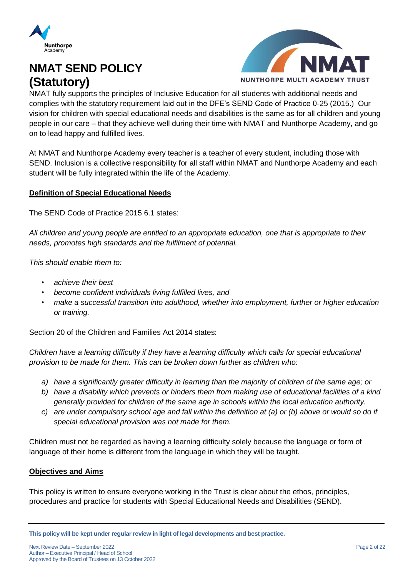



NMAT fully supports the principles of Inclusive Education for all students with additional needs and complies with the statutory requirement laid out in the DFE's SEND Code of Practice 0-25 (2015.) Our vision for children with special educational needs and disabilities is the same as for all children and young people in our care – that they achieve well during their time with NMAT and Nunthorpe Academy, and go on to lead happy and fulfilled lives.

At NMAT and Nunthorpe Academy every teacher is a teacher of every student, including those with SEND. Inclusion is a collective responsibility for all staff within NMAT and Nunthorpe Academy and each student will be fully integrated within the life of the Academy.

### **Definition of Special Educational Needs**

The SEND Code of Practice 2015 6.1 states:

*All children and young people are entitled to an appropriate education, one that is appropriate to their needs, promotes high standards and the fulfilment of potential.* 

*This should enable them to:* 

- *achieve their best*
- *become confident individuals living fulfilled lives, and*
- *make a successful transition into adulthood, whether into employment, further or higher education or training.*

Section 20 of the Children and Families Act 2014 states:

*Children have a learning difficulty if they have a learning difficulty which calls for special educational provision to be made for them. This can be broken down further as children who:*

- *a) have a significantly greater difficulty in learning than the majority of children of the same age; or*
- *b) have a disability which prevents or hinders them from making use of educational facilities of a kind generally provided for children of the same age in schools within the local education authority.*
- *c) are under compulsory school age and fall within the definition at (a) or (b) above or would so do if special educational provision was not made for them.*

Children must not be regarded as having a learning difficulty solely because the language or form of language of their home is different from the language in which they will be taught.

### **Objectives and Aims**

This policy is written to ensure everyone working in the Trust is clear about the ethos, principles, procedures and practice for students with Special Educational Needs and Disabilities (SEND).

**This policy will be kept under regular review in light of legal developments and best practice.**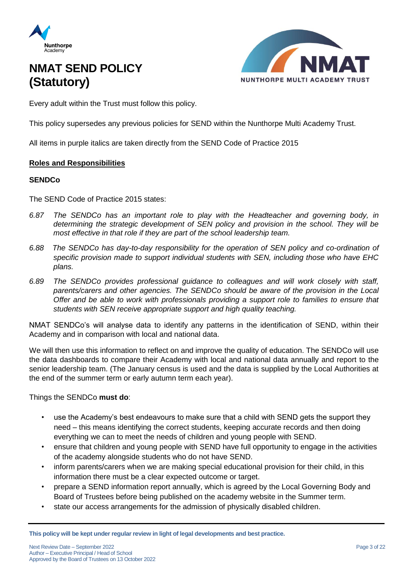



Every adult within the Trust must follow this policy.

This policy supersedes any previous policies for SEND within the Nunthorpe Multi Academy Trust.

All items in purple italics are taken directly from the SEND Code of Practice 2015

### **Roles and Responsibilities**

### **SENDCo**

The SEND Code of Practice 2015 states:

- *6.87 The SENDCo has an important role to play with the Headteacher and governing body, in determining the strategic development of SEN policy and provision in the school. They will be most effective in that role if they are part of the school leadership team.*
- *6.88 The SENDCo has day-to-day responsibility for the operation of SEN policy and co-ordination of specific provision made to support individual students with SEN, including those who have EHC plans.*
- *6.89 The SENDCo provides professional guidance to colleagues and will work closely with staff, parents/carers and other agencies. The SENDCo should be aware of the provision in the Local Offer and be able to work with professionals providing a support role to families to ensure that students with SEN receive appropriate support and high quality teaching.*

NMAT SENDCo's will analyse data to identify any patterns in the identification of SEND, within their Academy and in comparison with local and national data.

We will then use this information to reflect on and improve the quality of education. The SENDCo will use the data dashboards to compare their Academy with local and national data annually and report to the senior leadership team. (The January census is used and the data is supplied by the Local Authorities at the end of the summer term or early autumn term each year).

Things the SENDCo **must do**:

- use the Academy's best endeavours to make sure that a child with SEND gets the support they need – this means identifying the correct students, keeping accurate records and then doing everything we can to meet the needs of children and young people with SEND.
- ensure that children and young people with SEND have full opportunity to engage in the activities of the academy alongside students who do not have SEND.
- inform parents/carers when we are making special educational provision for their child, in this information there must be a clear expected outcome or target.
- prepare a SEND information report annually, which is agreed by the Local Governing Body and Board of Trustees before being published on the academy website in the Summer term.
- state our access arrangements for the admission of physically disabled children.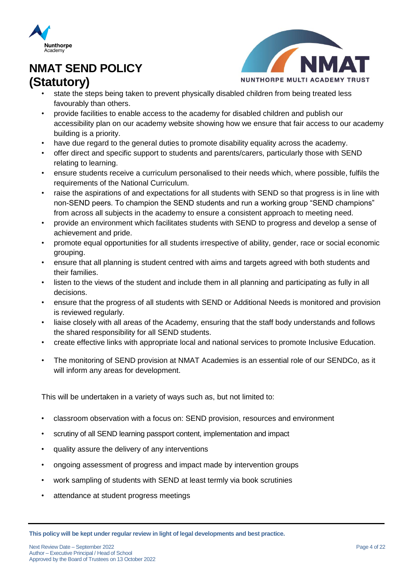



- state the steps being taken to prevent physically disabled children from being treated less favourably than others.
- provide facilities to enable access to the academy for disabled children and publish our accessibility plan on our academy website showing how we ensure that fair access to our academy building is a priority.
- have due regard to the general duties to promote disability equality across the academy.
- offer direct and specific support to students and parents/carers, particularly those with SEND relating to learning.
- ensure students receive a curriculum personalised to their needs which, where possible, fulfils the requirements of the National Curriculum.
- raise the aspirations of and expectations for all students with SEND so that progress is in line with non-SEND peers. To champion the SEND students and run a working group "SEND champions" from across all subjects in the academy to ensure a consistent approach to meeting need.
- provide an environment which facilitates students with SEND to progress and develop a sense of achievement and pride.
- promote equal opportunities for all students irrespective of ability, gender, race or social economic grouping.
- ensure that all planning is student centred with aims and targets agreed with both students and their families.
- listen to the views of the student and include them in all planning and participating as fully in all decisions.
- ensure that the progress of all students with SEND or Additional Needs is monitored and provision is reviewed regularly.
- liaise closely with all areas of the Academy, ensuring that the staff body understands and follows the shared responsibility for all SEND students.
- create effective links with appropriate local and national services to promote Inclusive Education.
- The monitoring of SEND provision at NMAT Academies is an essential role of our SENDCo, as it will inform any areas for development.

This will be undertaken in a variety of ways such as, but not limited to:

- classroom observation with a focus on: SEND provision, resources and environment
- scrutiny of all SEND learning passport content, implementation and impact
- quality assure the delivery of any interventions
- ongoing assessment of progress and impact made by intervention groups
- work sampling of students with SEND at least termly via book scrutinies
- attendance at student progress meetings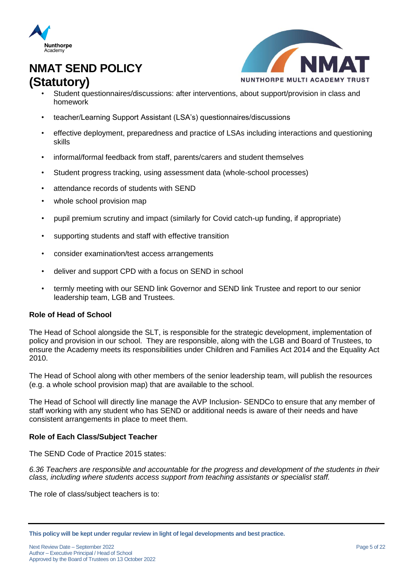



- Student questionnaires/discussions: after interventions, about support/provision in class and homework
- teacher/Learning Support Assistant (LSA's) questionnaires/discussions
- effective deployment, preparedness and practice of LSAs including interactions and questioning skills
- informal/formal feedback from staff, parents/carers and student themselves
- Student progress tracking, using assessment data (whole-school processes)
- attendance records of students with SEND
- whole school provision map
- pupil premium scrutiny and impact (similarly for Covid catch-up funding, if appropriate)
- supporting students and staff with effective transition
- consider examination/test access arrangements
- deliver and support CPD with a focus on SEND in school
- termly meeting with our SEND link Governor and SEND link Trustee and report to our senior leadership team, LGB and Trustees.

### **Role of Head of School**

The Head of School alongside the SLT, is responsible for the strategic development, implementation of policy and provision in our school. They are responsible, along with the LGB and Board of Trustees, to ensure the Academy meets its responsibilities under Children and Families Act 2014 and the Equality Act 2010.

The Head of School along with other members of the senior leadership team, will publish the resources (e.g. a whole school provision map) that are available to the school.

The Head of School will directly line manage the AVP Inclusion- SENDCo to ensure that any member of staff working with any student who has SEND or additional needs is aware of their needs and have consistent arrangements in place to meet them.

### **Role of Each Class/Subject Teacher**

The SEND Code of Practice 2015 states:

*6.36 Teachers are responsible and accountable for the progress and development of the students in their class, including where students access support from teaching assistants or specialist staff.*

The role of class/subject teachers is to:

**This policy will be kept under regular review in light of legal developments and best practice.**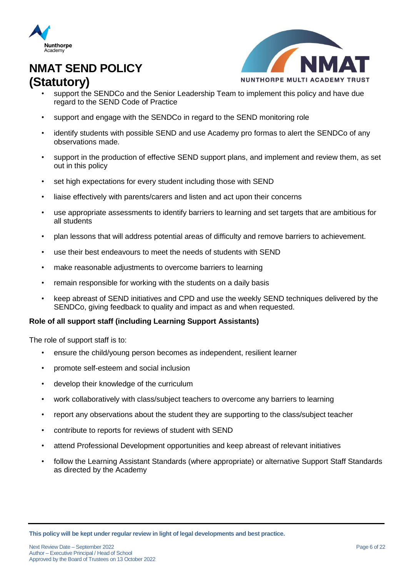



- support the SENDCo and the Senior Leadership Team to implement this policy and have due regard to the SEND Code of Practice
- support and engage with the SENDCo in regard to the SEND monitoring role
- identify students with possible SEND and use Academy pro formas to alert the SENDCo of any observations made.
- support in the production of effective SEND support plans, and implement and review them, as set out in this policy
- set high expectations for every student including those with SEND
- liaise effectively with parents/carers and listen and act upon their concerns
- use appropriate assessments to identify barriers to learning and set targets that are ambitious for all students
- plan lessons that will address potential areas of difficulty and remove barriers to achievement.
- use their best endeavours to meet the needs of students with SEND
- make reasonable adjustments to overcome barriers to learning
- remain responsible for working with the students on a daily basis
- keep abreast of SEND initiatives and CPD and use the weekly SEND techniques delivered by the SENDCo, giving feedback to quality and impact as and when requested.

### **Role of all support staff (including Learning Support Assistants)**

The role of support staff is to:

- ensure the child/young person becomes as independent, resilient learner
- promote self-esteem and social inclusion
- develop their knowledge of the curriculum
- work collaboratively with class/subject teachers to overcome any barriers to learning
- report any observations about the student they are supporting to the class/subject teacher
- contribute to reports for reviews of student with SEND
- attend Professional Development opportunities and keep abreast of relevant initiatives
- follow the Learning Assistant Standards (where appropriate) or alternative Support Staff Standards as directed by the Academy

**This policy will be kept under regular review in light of legal developments and best practice.**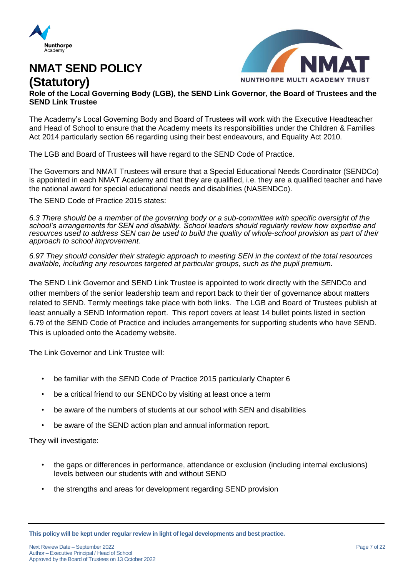



**Role of the Local Governing Body (LGB), the SEND Link Governor, the Board of Trustees and the SEND Link Trustee**

The Academy's Local Governing Body and Board of Trustees will work with the Executive Headteacher and Head of School to ensure that the Academy meets its responsibilities under th[e](https://www.legislation.gov.uk/ukpga/2014/6/pdfs/ukpga_20140006_en.pdf) [Children & Families](https://www.legislation.gov.uk/ukpga/2014/6/pdfs/ukpga_20140006_en.pdf)  [Act 2014 particularly section](https://www.legislation.gov.uk/ukpga/2014/6/pdfs/ukpga_20140006_en.pdf) 66 regarding using their best endeavours, and Equality Act 2010.

The LGB and Board of Trustees will have regard to the SEND Code of Practice.

The Governors and NMAT Trustees will ensure that a Special Educational Needs Coordinator (SENDCo) is appointed in each NMAT Academy and that they are qualified, i.e. they are a qualified teacher and have the national award for special educational needs and disabilities (NASENDCo).

The SEND Code of Practice 2015 states:

*6.3 There should be a member of the governing body or a sub-committee with specific oversight of the school's arrangements for SEN and disability. School leaders should regularly review how expertise and resources used to address SEN can be used to build the quality of whole-school provision as part of their approach to school improvement.* 

*6.97 They should consider their strategic approach to meeting SEN in the context of the total resources available, including any resources targeted at particular groups, such as the pupil premium.*

The SEND Link Governor and SEND Link Trustee is appointed to work directly with the SENDCo and other members of the senior leadership team and report back to their tier of governance about matters related to SEND. Termly meetings take place with both links. The LGB and Board of Trustees publish at least annually a SEND Information report. This report covers at least 14 bullet points listed in section 6.79 of the SEND Code of Practice and includes arrangements for supporting students who have SEND. This is uploaded onto the Academy website.

The Link Governor and Link Trustee will:

- be familiar with the SEND Code of Practice 2015 particularly Chapter 6
- be a critical friend to our SENDCo by visiting at least once a term
- be aware of the numbers of students at our school with SEN and disabilities
- be aware of the SEND action plan and annual information report.

They will investigate:

- the gaps or differences in performance, attendance or exclusion (including internal exclusions) levels between our students with and without SEND
- the strengths and areas for development regarding SEND provision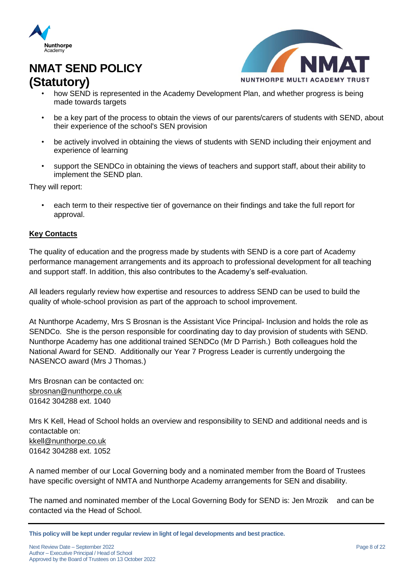



- how SEND is represented in the Academy Development Plan, and whether progress is being made towards targets
- be a key part of the process to obtain the views of our parents/carers of students with SEND, about their experience of the school's SEN provision
- be actively involved in obtaining the views of students with SEND including their enjoyment and experience of learning
- support the SENDCo in obtaining the views of teachers and support staff, about their ability to implement the SEND plan.

They will report:

• each term to their respective tier of governance on their findings and take the full report for approval.

### **Key Contacts**

The quality of education and the progress made by students with SEND is a core part of Academy performance management arrangements and its approach to professional development for all teaching and support staff. In addition, this also contributes to the Academy's self-evaluation.

All leaders regularly review how expertise and resources to address SEND can be used to build the quality of whole-school provision as part of the approach to school improvement.

At Nunthorpe Academy, Mrs S Brosnan is the Assistant Vice Principal- Inclusion and holds the role as SENDCo. She is the person responsible for coordinating day to day provision of students with SEND. Nunthorpe Academy has one additional trained SENDCo (Mr D Parrish.) Both colleagues hold the National Award for SEND. Additionally our Year 7 Progress Leader is currently undergoing the NASENCO award (Mrs J Thomas.)

Mrs Brosnan can be contacted on: [sbrosnan@nunthorpe.co.uk](mailto:sbrosnan@nunthorpe.co.uk) 01642 304288 ext. 1040

Mrs K Kell, Head of School holds an overview and responsibility to SEND and additional needs and is contactable on: [kkell@nunthorpe.co.uk](mailto:kkell@nunthorpe.co.uk) 01642 304288 ext. 1052

A named member of our Local Governing body and a nominated member from the Board of Trustees have specific oversight of NMTA and Nunthorpe Academy arrangements for SEN and disability.

The named and nominated member of the Local Governing Body for SEND is: Jen Mrozik and can be contacted via the Head of School.

**This policy will be kept under regular review in light of legal developments and best practice.**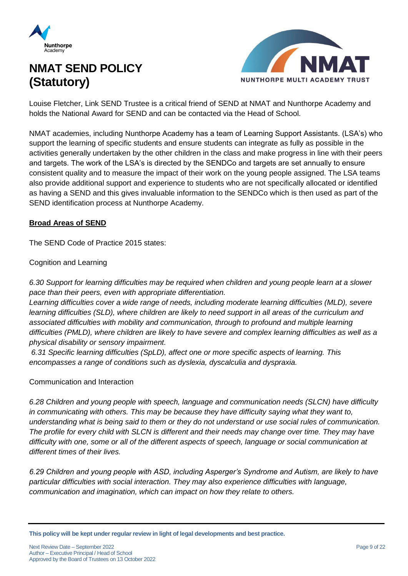



Louise Fletcher, Link SEND Trustee is a critical friend of SEND at NMAT and Nunthorpe Academy and holds the National Award for SEND and can be contacted via the Head of School.

NMAT academies, including Nunthorpe Academy has a team of Learning Support Assistants. (LSA's) who support the learning of specific students and ensure students can integrate as fully as possible in the activities generally undertaken by the other children in the class and make progress in line with their peers and targets. The work of the LSA's is directed by the SENDCo and targets are set annually to ensure consistent quality and to measure the impact of their work on the young people assigned. The LSA teams also provide additional support and experience to students who are not specifically allocated or identified as having a SEND and this gives invaluable information to the SENDCo which is then used as part of the SEND identification process at Nunthorpe Academy.

### **Broad Areas of SEND**

The SEND Code of Practice 2015 states:

Cognition and Learning

*6.30 Support for learning difficulties may be required when children and young people learn at a slower pace than their peers, even with appropriate differentiation.* 

*Learning difficulties cover a wide range of needs, including moderate learning difficulties (MLD), severe learning difficulties (SLD), where children are likely to need support in all areas of the curriculum and associated difficulties with mobility and communication, through to profound and multiple learning difficulties (PMLD), where children are likely to have severe and complex learning difficulties as well as a physical disability or sensory impairment.*

*6.31 Specific learning difficulties (SpLD), affect one or more specific aspects of learning. This encompasses a range of conditions such as dyslexia, dyscalculia and dyspraxia.* 

### Communication and Interaction

*6.28 Children and young people with speech, language and communication needs (SLCN) have difficulty in communicating with others. This may be because they have difficulty saying what they want to, understanding what is being said to them or they do not understand or use social rules of communication. The profile for every child with SLCN is different and their needs may change over time. They may have difficulty with one, some or all of the different aspects of speech, language or social communication at different times of their lives.* 

*6.29 Children and young people with ASD, including Asperger's Syndrome and Autism, are likely to have particular difficulties with social interaction. They may also experience difficulties with language, communication and imagination, which can impact on how they relate to others.*

**This policy will be kept under regular review in light of legal developments and best practice.**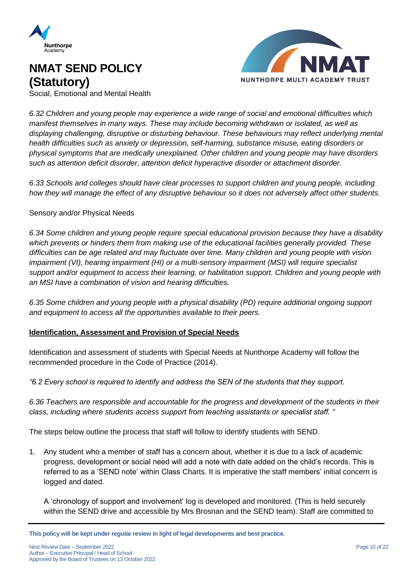



Social, Emotional and Mental Health

*6.32 Children and young people may experience a wide range of social and emotional difficulties which manifest themselves in many ways. These may include becoming withdrawn or isolated, as well as displaying challenging, disruptive or disturbing behaviour. These behaviours may reflect underlying mental health difficulties such as anxiety or depression, self-harming, substance misuse, eating disorders or physical symptoms that are medically unexplained. Other children and young people may have disorders such as attention deficit disorder, attention deficit hyperactive disorder or attachment disorder.* 

*6.33 Schools and colleges should have clear processes to support children and young people, including how they will manage the effect of any disruptive behaviour so it does not adversely affect other students.*

### Sensory and/or Physical Needs

*6.34 Some children and young people require special educational provision because they have a disability which prevents or hinders them from making use of the educational facilities generally provided. These difficulties can be age related and may fluctuate over time. Many children and young people with vision impairment (VI), hearing impairment (HI) or a multi-sensory impairment (MSI) will require specialist support and/or equipment to access their learning, or habilitation support. Children and young people with an MSI have a combination of vision and hearing difficulties.*

*6.35 Some children and young people with a physical disability (PD) require additional ongoing support and equipment to access all the opportunities available to their peers.*

### **Identification, Assessment and Provision of Special Needs**

Identification and assessment of students with Special Needs at Nunthorpe Academy will follow the recommended procedure in the Code of Practice (2014).

*"6.2 Every school is required to identify and address the SEN of the students that they support.* 

*6.36 Teachers are responsible and accountable for the progress and development of the students in their class, including where students access support from teaching assistants or specialist staff. "*

The steps below outline the process that staff will follow to identify students with SEND.

1. Any student who a member of staff has a concern about, whether it is due to a lack of academic progress, development or social need will add a note with date added on the child's records. This is referred to as a 'SEND note' within Class Charts. It is imperative the staff members' initial concern is logged and dated.

A 'chronology of support and involvement' log is developed and monitored. (This is held securely within the SEND drive and accessible by Mrs Brosnan and the SEND team). Staff are committed to

**This policy will be kept under regular review in light of legal developments and best practice.**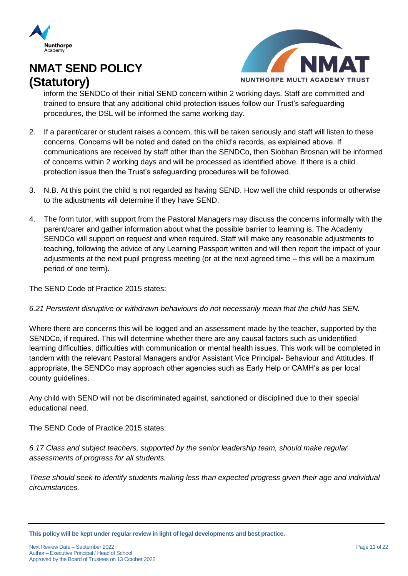



inform the SENDCo of their initial SEND concern within 2 working days. Staff are committed and trained to ensure that any additional child protection issues follow our Trust's safeguarding procedures, the DSL will be informed the same working day.

- 2. If a parent/carer or student raises a concern, this will be taken seriously and staff will listen to these concerns. Concerns will be noted and dated on the child's records, as explained above. If communications are received by staff other than the SENDCo, then Siobhan Brosnan will be informed of concerns within 2 working days and will be processed as identified above. If there is a child protection issue then the Trust's safeguarding procedures will be followed.
- 3. N.B. At this point the child is not regarded as having SEND. How well the child responds or otherwise to the adjustments will determine if they have SEND.
- 4. The form tutor, with support from the Pastoral Managers may discuss the concerns informally with the parent/carer and gather information about what the possible barrier to learning is. The Academy SENDCo will support on request and when required. Staff will make any reasonable adjustments to teaching, following the advice of any Learning Passport written and will then report the impact of your adjustments at the next pupil progress meeting (or at the next agreed time – this will be a maximum period of one term).

The SEND Code of Practice 2015 states:

### *6.21 Persistent disruptive or withdrawn behaviours do not necessarily mean that the child has SEN.*

Where there are concerns this will be logged and an assessment made by the teacher, supported by the SENDCo, if required. This will determine whether there are any causal factors such as unidentified learning difficulties, difficulties with communication or mental health issues. This work will be completed in tandem with the relevant Pastoral Managers and/or Assistant Vice Principal- Behaviour and Attitudes. If appropriate, the SENDCo may approach other agencies such as Early Help or CAMH's as per local county guidelines.

Any child with SEND will not be discriminated against, sanctioned or disciplined due to their special educational need.

The SEND Code of Practice 2015 states:

*6.17 Class and subject teachers, supported by the senior leadership team, should make regular assessments of progress for all students.* 

*These should seek to identify students making less than expected progress given their age and individual circumstances.*

**This policy will be kept under regular review in light of legal developments and best practice.**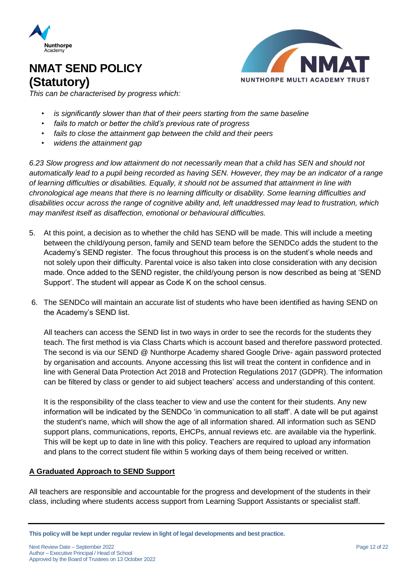



*This can be characterised by progress which:*

- *is significantly slower than that of their peers starting from the same baseline*
- *fails to match or better the child's previous rate of progress*
- *fails to close the attainment gap between the child and their peers*
- *widens the attainment gap*

*6.23 Slow progress and low attainment do not necessarily mean that a child has SEN and should not automatically lead to a pupil being recorded as having SEN. However, they may be an indicator of a range of learning difficulties or disabilities. Equally, it should not be assumed that attainment in line with chronological age means that there is no learning difficulty or disability. Some learning difficulties and disabilities occur across the range of cognitive ability and, left unaddressed may lead to frustration, which may manifest itself as disaffection, emotional or behavioural difficulties.*

- 5. At this point, a decision as to whether the child has SEND will be made. This will include a meeting between the child/young person, family and SEND team before the SENDCo adds the student to the Academy's SEND register. The focus throughout this process is on the student's whole needs and not solely upon their difficulty. Parental voice is also taken into close consideration with any decision made. Once added to the SEND register, the child/young person is now described as being at 'SEND Support'. The student will appear as Code K on the school census.
- 6. The SENDCo will maintain an accurate list of students who have been identified as having SEND on the Academy's SEND list.

All teachers can access the SEND list in two ways in order to see the records for the students they teach. The first method is via Class Charts which is account based and therefore password protected. The second is via our SEND @ Nunthorpe Academy shared Google Drive- again password protected by organisation and accounts. Anyone accessing this list will treat the content in confidence and in line with General Data Protection Act 2018 and Protection Regulations 2017 (GDPR). The information can be filtered by class or gender to aid subject teachers' access and understanding of this content.

It is the responsibility of the class teacher to view and use the content for their students. Any new information will be indicated by the SENDCo 'in communication to all staff'. A date will be put against the student's name, which will show the age of all information shared. All information such as SEND support plans, communications, reports, EHCPs, annual reviews etc. are available via the hyperlink. This will be kept up to date in line with this policy. Teachers are required to upload any information and plans to the correct student file within 5 working days of them being received or written.

### **A Graduated Approach to SEND Support**

All teachers are responsible and accountable for the progress and development of the students in their class, including where students access support from Learning Support Assistants or specialist staff.

**This policy will be kept under regular review in light of legal developments and best practice.**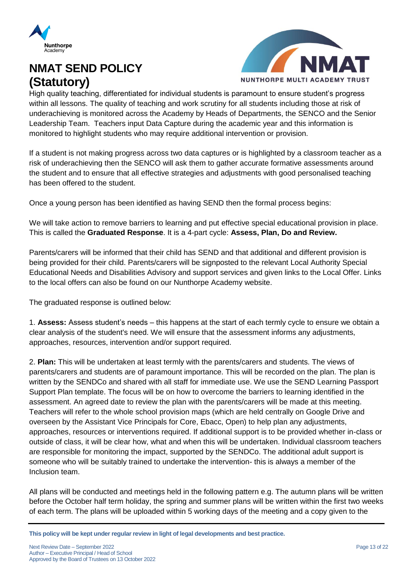



High quality teaching, differentiated for individual students is paramount to ensure student's progress within all lessons. The quality of teaching and work scrutiny for all students including those at risk of underachieving is monitored across the Academy by Heads of Departments, the SENCO and the Senior Leadership Team. Teachers input Data Capture during the academic year and this information is monitored to highlight students who may require additional intervention or provision.

If a student is not making progress across two data captures or is highlighted by a classroom teacher as a risk of underachieving then the SENCO will ask them to gather accurate formative assessments around the student and to ensure that all effective strategies and adjustments with good personalised teaching has been offered to the student.

Once a young person has been identified as having SEND then the formal process begins:

We will take action to remove barriers to learning and put effective special educational provision in place. This is called the **Graduated Response**. It is a 4-part cycle: **Assess, Plan, Do and Review.**

Parents/carers will be informed that their child has SEND and that additional and different provision is being provided for their child. Parents/carers will be signposted to the relevant Local Authority Special Educational Needs and Disabilities Advisory and support services and given links to the Local Offer. Links to the local offers can also be found on our Nunthorpe Academy website.

The graduated response is outlined below:

1. **Assess:** Assess student's needs – this happens at the start of each termly cycle to ensure we obtain a clear analysis of the student's need. We will ensure that the assessment informs any adjustments, approaches, resources, intervention and/or support required.

2. **Plan:** This will be undertaken at least termly with the parents/carers and students. The views of parents/carers and students are of paramount importance. This will be recorded on the plan. The plan is written by the SENDCo and shared with all staff for immediate use. We use the SEND Learning Passport Support Plan template. The focus will be on how to overcome the barriers to learning identified in the assessment. An agreed date to review the plan with the parents/carers will be made at this meeting. Teachers will refer to the whole school provision maps (which are held centrally on Google Drive and overseen by the Assistant Vice Principals for Core, Ebacc, Open) to help plan any adjustments, approaches, resources or interventions required. If additional support is to be provided whether in-class or outside of class, it will be clear how, what and when this will be undertaken. Individual classroom teachers are responsible for monitoring the impact, supported by the SENDCo. The additional adult support is someone who will be suitably trained to undertake the intervention- this is always a member of the Inclusion team.

All plans will be conducted and meetings held in the following pattern e.g. The autumn plans will be written before the October half term holiday, the spring and summer plans will be written within the first two weeks of each term. The plans will be uploaded within 5 working days of the meeting and a copy given to the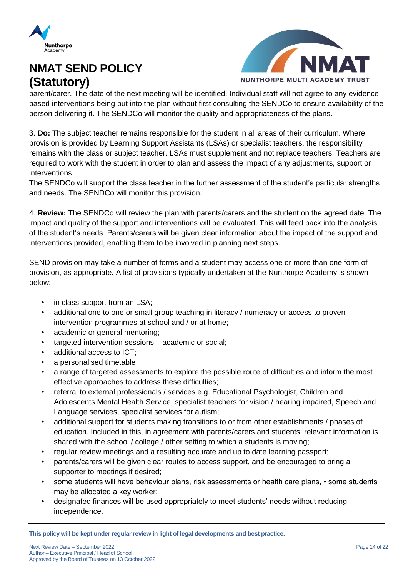



parent/carer. The date of the next meeting will be identified. Individual staff will not agree to any evidence based interventions being put into the plan without first consulting the SENDCo to ensure availability of the person delivering it. The SENDCo will monitor the quality and appropriateness of the plans.

3. **Do:** The subject teacher remains responsible for the student in all areas of their curriculum. Where provision is provided by Learning Support Assistants (LSAs) or specialist teachers, the responsibility remains with the class or subject teacher. LSAs must supplement and not replace teachers. Teachers are required to work with the student in order to plan and assess the impact of any adjustments, support or interventions.

The SENDCo will support the class teacher in the further assessment of the student's particular strengths and needs. The SENDCo will monitor this provision.

4. **Review:** The SENDCo will review the plan with parents/carers and the student on the agreed date. The impact and quality of the support and interventions will be evaluated. This will feed back into the analysis of the student's needs. Parents/carers will be given clear information about the impact of the support and interventions provided, enabling them to be involved in planning next steps.

SEND provision may take a number of forms and a student may access one or more than one form of provision, as appropriate. A list of provisions typically undertaken at the Nunthorpe Academy is shown below:

- in class support from an LSA;
- additional one to one or small group teaching in literacy / numeracy or access to proven intervention programmes at school and / or at home;
- academic or general mentoring;
- targeted intervention sessions academic or social;
- additional access to ICT;
- a personalised timetable
- a range of targeted assessments to explore the possible route of difficulties and inform the most effective approaches to address these difficulties;
- referral to external professionals / services e.g. Educational Psychologist, Children and Adolescents Mental Health Service, specialist teachers for vision / hearing impaired, Speech and Language services, specialist services for autism;
- additional support for students making transitions to or from other establishments / phases of education. Included in this, in agreement with parents/carers and students, relevant information is shared with the school / college / other setting to which a students is moving;
- regular review meetings and a resulting accurate and up to date learning passport;
- parents/carers will be given clear routes to access support, and be encouraged to bring a supporter to meetings if desired;
- some students will have behaviour plans, risk assessments or health care plans,  $\cdot$  some students may be allocated a key worker;
- designated finances will be used appropriately to meet students' needs without reducing independence.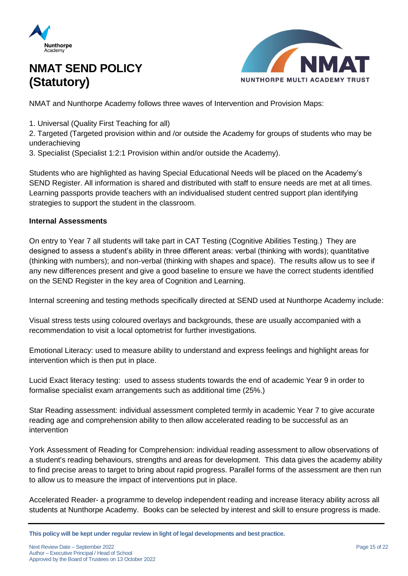



NMAT and Nunthorpe Academy follows three waves of Intervention and Provision Maps:

1. Universal (Quality First Teaching for all)

2. Targeted (Targeted provision within and /or outside the Academy for groups of students who may be underachieving

3. Specialist (Specialist 1:2:1 Provision within and/or outside the Academy).

Students who are highlighted as having Special Educational Needs will be placed on the Academy's SEND Register. All information is shared and distributed with staff to ensure needs are met at all times. Learning passports provide teachers with an individualised student centred support plan identifying strategies to support the student in the classroom.

### **Internal Assessments**

On entry to Year 7 all students will take part in CAT Testing (Cognitive Abilities Testing.) They are designed to assess a student's ability in three different areas: verbal (thinking with words); quantitative (thinking with numbers); and non-verbal (thinking with shapes and space). The results allow us to see if any new differences present and give a good baseline to ensure we have the correct students identified on the SEND Register in the key area of Cognition and Learning.

Internal screening and testing methods specifically directed at SEND used at Nunthorpe Academy include:

Visual stress tests using coloured overlays and backgrounds, these are usually accompanied with a recommendation to visit a local optometrist for further investigations.

Emotional Literacy: used to measure ability to understand and express feelings and highlight areas for intervention which is then put in place.

Lucid Exact literacy testing: used to assess students towards the end of academic Year 9 in order to formalise specialist exam arrangements such as additional time (25%.)

Star Reading assessment: individual assessment completed termly in academic Year 7 to give accurate reading age and comprehension ability to then allow accelerated reading to be successful as an intervention

York Assessment of Reading for Comprehension: individual reading assessment to allow observations of a student's reading behaviours, strengths and areas for development. This data gives the academy ability to find precise areas to target to bring about rapid progress. Parallel forms of the assessment are then run to allow us to measure the impact of interventions put in place.

Accelerated Reader- a programme to develop independent reading and increase literacy ability across all students at Nunthorpe Academy. Books can be selected by interest and skill to ensure progress is made.

**This policy will be kept under regular review in light of legal developments and best practice.**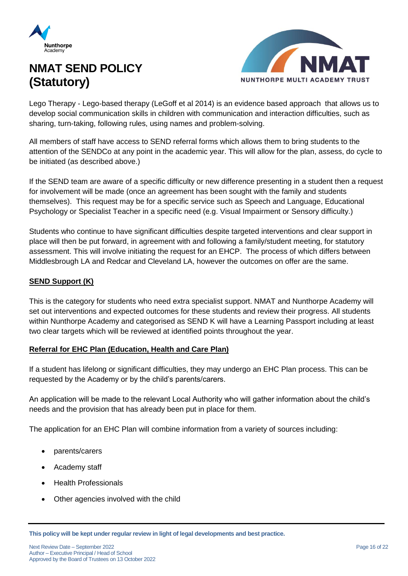



Lego Therapy - Lego-based therapy (LeGoff et al 2014) is an evidence based approach that allows us to develop social communication skills in children with communication and interaction difficulties, such as sharing, turn-taking, following rules, using names and problem-solving.

All members of staff have access to SEND referral forms which allows them to bring students to the attention of the SENDCo at any point in the academic year. This will allow for the plan, assess, do cycle to be initiated (as described above.)

If the SEND team are aware of a specific difficulty or new difference presenting in a student then a request for involvement will be made (once an agreement has been sought with the family and students themselves). This request may be for a specific service such as Speech and Language, Educational Psychology or Specialist Teacher in a specific need (e.g. Visual Impairment or Sensory difficulty.)

Students who continue to have significant difficulties despite targeted interventions and clear support in place will then be put forward, in agreement with and following a family/student meeting, for statutory assessment. This will involve initiating the request for an EHCP. The process of which differs between Middlesbrough LA and Redcar and Cleveland LA, however the outcomes on offer are the same.

### **SEND Support (K)**

This is the category for students who need extra specialist support. NMAT and Nunthorpe Academy will set out interventions and expected outcomes for these students and review their progress. All students within Nunthorpe Academy and categorised as SEND K will have a Learning Passport including at least two clear targets which will be reviewed at identified points throughout the year.

### **Referral for EHC Plan (Education, Health and Care Plan)**

If a student has lifelong or significant difficulties, they may undergo an EHC Plan process. This can be requested by the Academy or by the child's parents/carers.

An application will be made to the relevant Local Authority who will gather information about the child's needs and the provision that has already been put in place for them.

The application for an EHC Plan will combine information from a variety of sources including:

- parents/carers
- Academy staff
- Health Professionals
- Other agencies involved with the child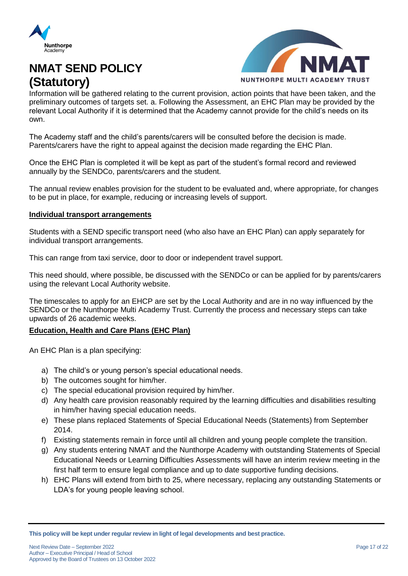



Information will be gathered relating to the current provision, action points that have been taken, and the preliminary outcomes of targets set. a. Following the Assessment, an EHC Plan may be provided by the relevant Local Authority if it is determined that the Academy cannot provide for the child's needs on its own.

The Academy staff and the child's parents/carers will be consulted before the decision is made. Parents/carers have the right to appeal against the decision made regarding the EHC Plan.

Once the EHC Plan is completed it will be kept as part of the student's formal record and reviewed annually by the SENDCo, parents/carers and the student.

The annual review enables provision for the student to be evaluated and, where appropriate, for changes to be put in place, for example, reducing or increasing levels of support.

#### **Individual transport arrangements**

Students with a SEND specific transport need (who also have an EHC Plan) can apply separately for individual transport arrangements.

This can range from taxi service, door to door or independent travel support.

This need should, where possible, be discussed with the SENDCo or can be applied for by parents/carers using the relevant Local Authority website.

The timescales to apply for an EHCP are set by the Local Authority and are in no way influenced by the SENDCo or the Nunthorpe Multi Academy Trust. Currently the process and necessary steps can take upwards of 26 academic weeks.

### **Education, Health and Care Plans (EHC Plan)**

An EHC Plan is a plan specifying:

- a) The child's or young person's special educational needs.
- b) The outcomes sought for him/her.
- c) The special educational provision required by him/her.
- d) Any health care provision reasonably required by the learning difficulties and disabilities resulting in him/her having special education needs.
- e) These plans replaced Statements of Special Educational Needs (Statements) from September 2014.
- f) Existing statements remain in force until all children and young people complete the transition.
- g) Any students entering NMAT and the Nunthorpe Academy with outstanding Statements of Special Educational Needs or Learning Difficulties Assessments will have an interim review meeting in the first half term to ensure legal compliance and up to date supportive funding decisions.
- h) EHC Plans will extend from birth to 25, where necessary, replacing any outstanding Statements or LDA's for young people leaving school.

**This policy will be kept under regular review in light of legal developments and best practice.**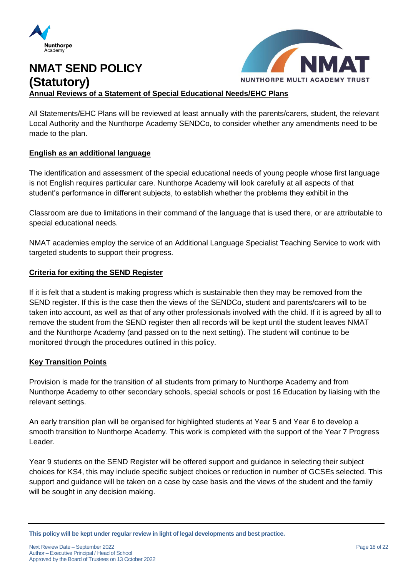



### **NMAT SEND POLICY (Statutory) Annual Reviews of a Statement of Special Educational Needs/EHC Plans**

All Statements/EHC Plans will be reviewed at least annually with the parents/carers, student, the relevant Local Authority and the Nunthorpe Academy SENDCo, to consider whether any amendments need to be made to the plan.

### **English as an additional language**

The identification and assessment of the special educational needs of young people whose first language is not English requires particular care. Nunthorpe Academy will look carefully at all aspects of that student's performance in different subjects, to establish whether the problems they exhibit in the

Classroom are due to limitations in their command of the language that is used there, or are attributable to special educational needs.

NMAT academies employ the service of an Additional Language Specialist Teaching Service to work with targeted students to support their progress.

### **Criteria for exiting the SEND Register**

If it is felt that a student is making progress which is sustainable then they may be removed from the SEND register. If this is the case then the views of the SENDCo, student and parents/carers will to be taken into account, as well as that of any other professionals involved with the child. If it is agreed by all to remove the student from the SEND register then all records will be kept until the student leaves NMAT and the Nunthorpe Academy (and passed on to the next setting). The student will continue to be monitored through the procedures outlined in this policy.

### **Key Transition Points**

Provision is made for the transition of all students from primary to Nunthorpe Academy and from Nunthorpe Academy to other secondary schools, special schools or post 16 Education by liaising with the relevant settings.

An early transition plan will be organised for highlighted students at Year 5 and Year 6 to develop a smooth transition to Nunthorpe Academy. This work is completed with the support of the Year 7 Progress Leader.

Year 9 students on the SEND Register will be offered support and guidance in selecting their subject choices for KS4, this may include specific subject choices or reduction in number of GCSEs selected. This support and guidance will be taken on a case by case basis and the views of the student and the family will be sought in any decision making.

**This policy will be kept under regular review in light of legal developments and best practice.**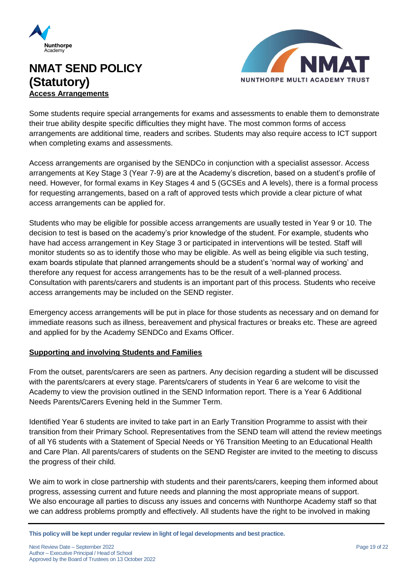

### **NMAT SEND POLICY (Statutory) Access Arrangements**



Some students require special arrangements for exams and assessments to enable them to demonstrate their true ability despite specific difficulties they might have. The most common forms of access arrangements are additional time, readers and scribes. Students may also require access to ICT support when completing exams and assessments.

Access arrangements are organised by the SENDCo in conjunction with a specialist assessor. Access arrangements at Key Stage 3 (Year 7-9) are at the Academy's discretion, based on a student's profile of need. However, for formal exams in Key Stages 4 and 5 (GCSEs and A levels), there is a formal process for requesting arrangements, based on a raft of approved tests which provide a clear picture of what access arrangements can be applied for.

Students who may be eligible for possible access arrangements are usually tested in Year 9 or 10. The decision to test is based on the academy's prior knowledge of the student. For example, students who have had access arrangement in Key Stage 3 or participated in interventions will be tested. Staff will monitor students so as to identify those who may be eligible. As well as being eligible via such testing, exam boards stipulate that planned arrangements should be a student's 'normal way of working' and therefore any request for access arrangements has to be the result of a well-planned process. Consultation with parents/carers and students is an important part of this process. Students who receive access arrangements may be included on the SEND register.

Emergency access arrangements will be put in place for those students as necessary and on demand for immediate reasons such as illness, bereavement and physical fractures or breaks etc. These are agreed and applied for by the Academy SENDCo and Exams Officer.

### **Supporting and involving Students and Families**

From the outset, parents/carers are seen as partners. Any decision regarding a student will be discussed with the parents/carers at every stage. Parents/carers of students in Year 6 are welcome to visit the Academy to view the provision outlined in the SEND Information report. There is a Year 6 Additional Needs Parents/Carers Evening held in the Summer Term.

Identified Year 6 students are invited to take part in an Early Transition Programme to assist with their transition from their Primary School. Representatives from the SEND team will attend the review meetings of all Y6 students with a Statement of Special Needs or Y6 Transition Meeting to an Educational Health and Care Plan. All parents/carers of students on the SEND Register are invited to the meeting to discuss the progress of their child.

We aim to work in close partnership with students and their parents/carers, keeping them informed about progress, assessing current and future needs and planning the most appropriate means of support. We also encourage all parties to discuss any issues and concerns with Nunthorpe Academy staff so that we can address problems promptly and effectively. All students have the right to be involved in making

**This policy will be kept under regular review in light of legal developments and best practice.**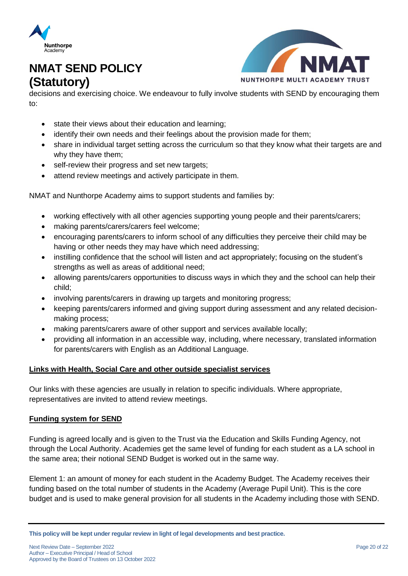



decisions and exercising choice. We endeavour to fully involve students with SEND by encouraging them to:

- state their views about their education and learning;
- identify their own needs and their feelings about the provision made for them;
- share in individual target setting across the curriculum so that they know what their targets are and why they have them;
- self-review their progress and set new targets;
- attend review meetings and actively participate in them.

NMAT and Nunthorpe Academy aims to support students and families by:

- working effectively with all other agencies supporting young people and their parents/carers;
- making parents/carers/carers feel welcome;
- encouraging parents/carers to inform school of any difficulties they perceive their child may be having or other needs they may have which need addressing;
- instilling confidence that the school will listen and act appropriately; focusing on the student's strengths as well as areas of additional need;
- allowing parents/carers opportunities to discuss ways in which they and the school can help their child;
- involving parents/carers in drawing up targets and monitoring progress;
- keeping parents/carers informed and giving support during assessment and any related decisionmaking process;
- making parents/carers aware of other support and services available locally;
- providing all information in an accessible way, including, where necessary, translated information for parents/carers with English as an Additional Language.

### **Links with Health, Social Care and other outside specialist services**

Our links with these agencies are usually in relation to specific individuals. Where appropriate, representatives are invited to attend review meetings.

### **Funding system for SEND**

Funding is agreed locally and is given to the Trust via the Education and Skills Funding Agency, not through the Local Authority. Academies get the same level of funding for each student as a LA school in the same area; their notional SEND Budget is worked out in the same way.

Element 1: an amount of money for each student in the Academy Budget. The Academy receives their funding based on the total number of students in the Academy (Average Pupil Unit). This is the core budget and is used to make general provision for all students in the Academy including those with SEND.

**This policy will be kept under regular review in light of legal developments and best practice.**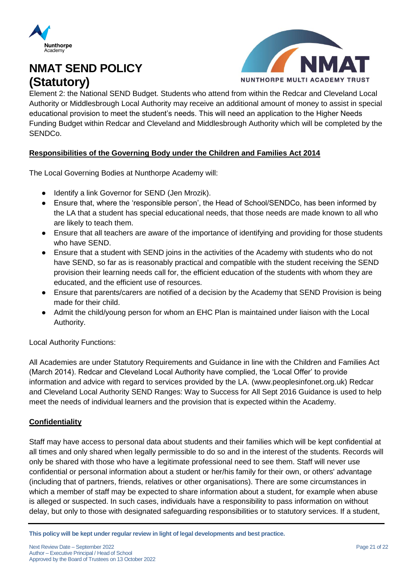



Element 2: the National SEND Budget. Students who attend from within the Redcar and Cleveland Local Authority or Middlesbrough Local Authority may receive an additional amount of money to assist in special educational provision to meet the student's needs. This will need an application to the Higher Needs Funding Budget within Redcar and Cleveland and Middlesbrough Authority which will be completed by the SENDCo.

### **Responsibilities of the Governing Body under the Children and Families Act 2014**

The Local Governing Bodies at Nunthorpe Academy will:

- Identify a link Governor for SEND (Jen Mrozik).
- Ensure that, where the 'responsible person', the Head of School/SENDCo, has been informed by the LA that a student has special educational needs, that those needs are made known to all who are likely to teach them.
- Ensure that all teachers are aware of the importance of identifying and providing for those students who have SEND.
- Ensure that a student with SEND joins in the activities of the Academy with students who do not have SEND, so far as is reasonably practical and compatible with the student receiving the SEND provision their learning needs call for, the efficient education of the students with whom they are educated, and the efficient use of resources.
- Ensure that parents/carers are notified of a decision by the Academy that SEND Provision is being made for their child.
- Admit the child/young person for whom an EHC Plan is maintained under liaison with the Local Authority.

Local Authority Functions:

All Academies are under Statutory Requirements and Guidance in line with the Children and Families Act (March 2014). Redcar and Cleveland Local Authority have complied, the 'Local Offer' to provide information and advice with regard to services provided by the LA. (www.peoplesinfonet.org.uk) Redcar and Cleveland Local Authority SEND Ranges: Way to Success for All Sept 2016 Guidance is used to help meet the needs of individual learners and the provision that is expected within the Academy.

### **Confidentiality**

Staff may have access to personal data about students and their families which will be kept confidential at all times and only shared when legally permissible to do so and in the interest of the students. Records will only be shared with those who have a legitimate professional need to see them. Staff will never use confidential or personal information about a student or her/his family for their own, or others' advantage (including that of partners, friends, relatives or other organisations). There are some circumstances in which a member of staff may be expected to share information about a student, for example when abuse is alleged or suspected. In such cases, individuals have a responsibility to pass information on without delay, but only to those with designated safeguarding responsibilities or to statutory services. If a student,

**This policy will be kept under regular review in light of legal developments and best practice.**